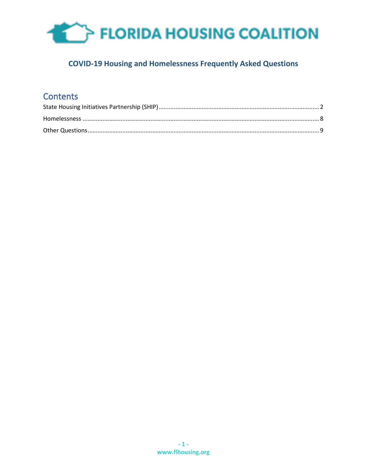

### **COVID-19 Housing and Homelessness Frequently Asked Questions**

### **Contents**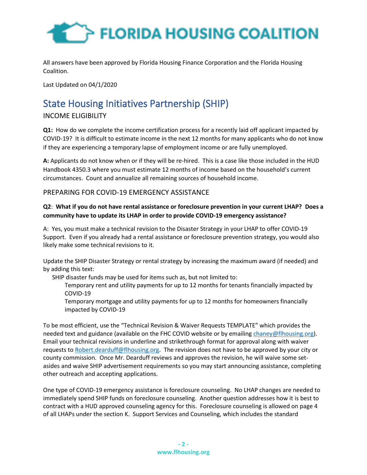

<span id="page-1-0"></span>All answers have been approved by Florida Housing Finance Corporation and the Florida Housing Coalition.

Last Updated on 04/1/2020

## State Housing Initiatives Partnership (SHIP)

#### INCOME ELIGIBILITY

**Q1:** How do we complete the income certification process for a recently laid off applicant impacted by COVID-19? It is difficult to estimate income in the next 12 months for many applicants who do not know if they are experiencing a temporary lapse of employment income or are fully unemployed.

**A:** Applicants do not know when or if they will be re-hired. This is a case like those included in the HUD Handbook 4350.3 where you must estimate 12 months of income based on the household's current circumstances. Count and annualize all remaining sources of household income.

#### PREPARING FOR COVID-19 EMERGENCY ASSISTANCE

#### **Q2**: **What if you do not have rental assistance or foreclosure prevention in your current LHAP? Does a community have to update its LHAP in order to provide COVID-19 emergency assistance?**

A: Yes, you must make a technical revision to the Disaster Strategy in your LHAP to offer COVID-19 Support. Even if you already had a rental assistance or foreclosure prevention strategy, you would also likely make some technical revisions to it.

Update the SHIP Disaster Strategy or rental strategy by increasing the maximum award (if needed) and by adding this text:

SHIP disaster funds may be used for items such as, but not limited to:

Temporary rent and utility payments for up to 12 months for tenants financially impacted by COVID-19

Temporary mortgage and utility payments for up to 12 months for homeowners financially impacted by COVID-19

To be most efficient, use the "Technical Revision & Waiver Requests TEMPLATE" which provides the needed text and guidance (available on the FHC COVID website or by emailin[g chaney@flhousing.org\)](mailto:chaney@flhousing.org). Email your technical revisions in underline and strikethrough format for approval along with waiver requests to [Robert.dearduff@flhousing.org.](mailto:Robert.dearduff@flhousing.org) The revision does not have to be approved by your city or county commission. Once Mr. Dearduff reviews and approves the revision, he will waive some setasides and waive SHIP advertisement requirements so you may start announcing assistance, completing other outreach and accepting applications.

One type of COVID-19 emergency assistance is foreclosure counseling. No LHAP changes are needed to immediately spend SHIP funds on foreclosure counseling. Another question addresses how it is best to contract with a HUD approved counseling agency for this. Foreclosure counseling is allowed on page 4 of all LHAPs under the section K. Support Services and Counseling, which includes the standard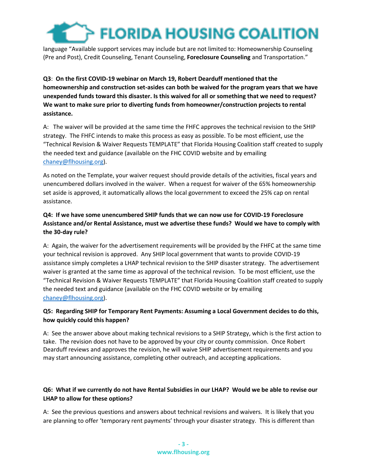language "Available support services may include but are not limited to: Homeownership Counseling (Pre and Post), Credit Counseling, Tenant Counseling, **Foreclosure Counseling** and Transportation."

#### **Q3**: **On the first COVID-19 webinar on March 19, Robert Dearduff mentioned that the homeownership and construction set-asides can both be waived for the program years that we have unexpended funds toward this disaster. Is this waived for all or something that we need to request? We want to make sure prior to diverting funds from homeowner/construction projects to rental assistance.**

A: The waiver will be provided at the same time the FHFC approves the technical revision to the SHIP strategy. The FHFC intends to make this process as easy as possible. To be most efficient, use the "Technical Revision & Waiver Requests TEMPLATE" that Florida Housing Coalition staff created to supply the needed text and guidance (available on the FHC COVID website and by emailing [chaney@flhousing.org\)](mailto:chaney@flhousing.org).

As noted on the Template, your waiver request should provide details of the activities, fiscal years and unencumbered dollars involved in the waiver. When a request for waiver of the 65% homeownership set aside is approved, it automatically allows the local government to exceed the 25% cap on rental assistance.

#### **Q4: If we have some unencumbered SHIP funds that we can now use for COVID-19 Foreclosure Assistance and/or Rental Assistance, must we advertise these funds? Would we have to comply with the 30-day rule?**

A: Again, the waiver for the advertisement requirements will be provided by the FHFC at the same time your technical revision is approved. Any SHIP local government that wants to provide COVID-19 assistance simply completes a LHAP technical revision to the SHIP disaster strategy. The advertisement waiver is granted at the same time as approval of the technical revision. To be most efficient, use the "Technical Revision & Waiver Requests TEMPLATE" that Florida Housing Coalition staff created to supply the needed text and guidance (available on the FHC COVID website or by emailing [chaney@flhousing.org\)](mailto:chaney@flhousing.org).

#### **Q5: Regarding SHIP for Temporary Rent Payments: Assuming a Local Government decides to do this, how quickly could this happen?**

A: See the answer above about making technical revisions to a SHIP Strategy, which is the first action to take. The revision does not have to be approved by your city or county commission. Once Robert Dearduff reviews and approves the revision, he will waive SHIP advertisement requirements and you may start announcing assistance, completing other outreach, and accepting applications.

#### **Q6: What if we currently do not have Rental Subsidies in our LHAP? Would we be able to revise our LHAP to allow for these options?**

A: See the previous questions and answers about technical revisions and waivers. It is likely that you are planning to offer 'temporary rent payments' through your disaster strategy. This is different than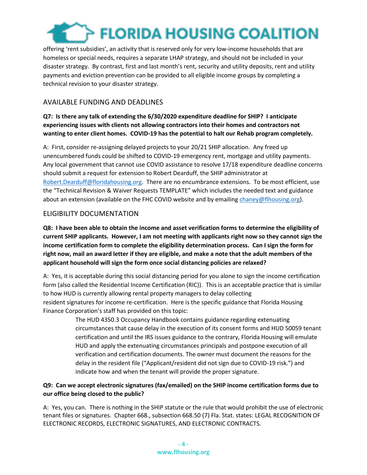offering 'rent subsidies', an activity that is reserved only for very low-income households that are homeless or special needs, requires a separate LHAP strategy, and should not be included in your disaster strategy. By contrast, first and last month's rent, security and utility deposits, rent and utility payments and eviction prevention can be provided to all eligible income groups by completing a technical revision to your disaster strategy.

#### AVAILABLE FUNDING AND DEADLINES

#### **Q7: Is there any talk of extending the 6/30/2020 expenditure deadline for SHIP? I anticipate experiencing issues with clients not allowing contractors into their homes and contractors not wanting to enter client homes. COVID-19 has the potential to halt our Rehab program completely.**

A: First, consider re-assigning delayed projects to your 20/21 SHIP allocation. Any freed up unencumbered funds could be shifted to COVID-19 emergency rent, mortgage and utility payments. Any local government that cannot use COVID assistance to resolve 17/18 expenditure deadline concerns should submit a request for extension to Robert Dearduff, the SHIP administrator at [Robert.Dearduff@floridahousing.org.](mailto:Robert.Dearduff@floridahousing.org) There are no encumbrance extensions. To be most efficient, use the "Technical Revision & Waiver Requests TEMPLATE" which includes the needed text and guidance about an extension (available on the FHC COVID website and by emailin[g chaney@flhousing.org\)](mailto:chaney@flhousing.org).

#### ELIGIBILITY DOCUMENTATION

**Q8: I have been able to obtain the income and asset verification forms to determine the eligibility of current SHIP applicants. However, I am not meeting with applicants right now so they cannot sign the income certification form to complete the eligibility determination process. Can I sign the form for right now, mail an award letter if they are eligible, and make a note that the adult members of the applicant household will sign the form once social distancing policies are relaxed?** 

A: Yes, it is acceptable during this social distancing period for you alone to sign the income certification form (also called the Residential Income Certification (RIC)). This is an acceptable practice that is similar to how HUD is currently allowing rental property managers to delay collecting resident signatures for income re-certification. Here is the specific guidance that Florida Housing Finance Corporation's staff has provided on this topic:

> The HUD 4350.3 Occupancy Handbook contains guidance regarding extenuating circumstances that cause delay in the execution of its consent forms and HUD 50059 tenant certification and until the IRS issues guidance to the contrary, Florida Housing will emulate HUD and apply the extenuating circumstances principals and postpone execution of all verification and certification documents. The owner must document the reasons for the delay in the resident file ("Applicant/resident did not sign due to COVID-19 risk.") and indicate how and when the tenant will provide the proper signature.

#### **Q9: Can we accept electronic signatures (fax/emailed) on the SHIP income certification forms due to our office being closed to the public?**

A: Yes, you can. There is nothing in the SHIP statute or the rule that would prohibit the use of electronic tenant files or signatures. Chapter 668., subsection 668.50 (7) Fla. Stat. states: LEGAL RECOGNITION OF ELECTRONIC RECORDS, ELECTRONIC SIGNATURES, AND ELECTRONIC CONTRACTS.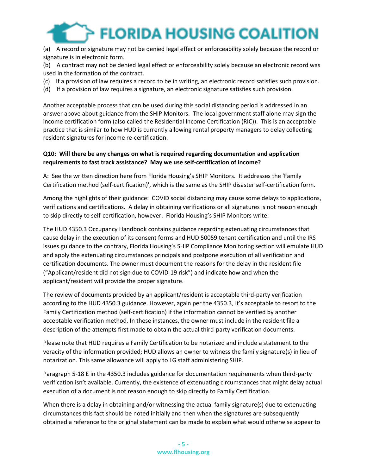(a) A record or signature may not be denied legal effect or enforceability solely because the record or signature is in electronic form.

(b) A contract may not be denied legal effect or enforceability solely because an electronic record was used in the formation of the contract.

- (c) If a provision of law requires a record to be in writing, an electronic record satisfies such provision.
- (d) If a provision of law requires a signature, an electronic signature satisfies such provision.

Another acceptable process that can be used during this social distancing period is addressed in an answer above about guidance from the SHIP Monitors. The local government staff alone may sign the income certification form (also called the Residential Income Certification (RIC)). This is an acceptable practice that is similar to how HUD is currently allowing rental property managers to delay collecting resident signatures for income re-certification.

#### **Q10: Will there be any changes on what is required regarding documentation and application requirements to fast track assistance? May we use self-certification of income?**

A: See the written direction here from Florida Housing's SHIP Monitors. It addresses the 'Family Certification method (self-certification)', which is the same as the SHIP disaster self-certification form.

Among the highlights of their guidance: COVID social distancing may cause some delays to applications, verifications and certifications. A delay in obtaining verifications or all signatures is not reason enough to skip directly to self-certification, however. Florida Housing's SHIP Monitors write:

The HUD 4350.3 Occupancy Handbook contains guidance regarding extenuating circumstances that cause delay in the execution of its consent forms and HUD 50059 tenant certification and until the IRS issues guidance to the contrary, Florida Housing's SHIP Compliance Monitoring section will emulate HUD and apply the extenuating circumstances principals and postpone execution of all verification and certification documents. The owner must document the reasons for the delay in the resident file ("Applicant/resident did not sign due to COVID-19 risk") and indicate how and when the applicant/resident will provide the proper signature.

The review of documents provided by an applicant/resident is acceptable third-party verification according to the HUD 4350.3 guidance. However, again per the 4350.3, it's acceptable to resort to the Family Certification method (self-certification) if the information cannot be verified by another acceptable verification method. In these instances, the owner must include in the resident file a description of the attempts first made to obtain the actual third-party verification documents.

Please note that HUD requires a Family Certification to be notarized and include a statement to the veracity of the information provided; HUD allows an owner to witness the family signature(s) in lieu of notarization. This same allowance will apply to LG staff administering SHIP.

Paragraph 5-18 E in the 4350.3 includes guidance for documentation requirements when third-party verification isn't available. Currently, the existence of extenuating circumstances that might delay actual execution of a document is not reason enough to skip directly to Family Certification.

When there is a delay in obtaining and/or witnessing the actual family signature(s) due to extenuating circumstances this fact should be noted initially and then when the signatures are subsequently obtained a reference to the original statement can be made to explain what would otherwise appear to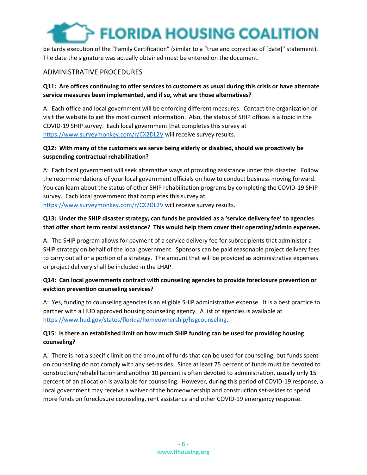be tardy execution of the "Family Certification" (similar to a "true and correct as of [date]" statement). The date the signature was actually obtained must be entered on the document.

#### ADMINISTRATIVE PROCEDURES

#### **Q11: Are offices continuing to offer services to customers as usual during this crisis or have alternate service measures been implemented, and if so, what are those alternatives?**

A: Each office and local government will be enforcing different measures. Contact the organization or visit the website to get the most current information. Also, the status of SHIP offices is a topic in the COVID-19 SHIP survey. Each local government that completes this survey at <https://www.surveymonkey.com/r/CX2DL2V> will receive survey results.

#### **Q12: With many of the customers we serve being elderly or disabled, should we proactively be suspending contractual rehabilitation?**

A: Each local government will seek alternative ways of providing assistance under this disaster. Follow the recommendations of your local government officials on how to conduct business moving forward. You can learn about the status of other SHIP rehabilitation programs by completing the COVID-19 SHIP survey. Each local government that completes this survey at

<https://www.surveymonkey.com/r/CX2DL2V> will receive survey results.

#### **Q13: Under the SHIP disaster strategy, can funds be provided as a 'service delivery fee' to agencies that offer short term rental assistance? This would help them cover their operating/admin expenses.**

A: The SHIP program allows for payment of a service delivery fee for subrecipients that administer a SHIP strategy on behalf of the local government. Sponsors can be paid reasonable project delivery fees to carry out all or a portion of a strategy. The amount that will be provided as administrative expenses or project delivery shall be included in the LHAP.

#### **Q14: Can local governments contract with counseling agencies to provide foreclosure prevention or eviction prevention counseling services?**

A: Yes, funding to counseling agencies is an eligible SHIP administrative expense. It is a best practice to partner with a HUD approved housing counseling agency. A list of agencies is available at [https://www.hud.gov/states/florida/homeownership/hsgcounseling.](https://www.hud.gov/states/florida/homeownership/hsgcounseling)

#### **Q15**: **Is there an established limit on how much SHIP funding can be used for providing housing counseling?**

A: There is not a specific limit on the amount of funds that can be used for counseling, but funds spent on counseling do not comply with any set-asides. Since at least 75 percent of funds must be devoted to construction/rehabilitation and another 10 percent is often devoted to administration, usually only 15 percent of an allocation is available for counseling. However, during this period of COVID-19 response, a local government may receive a waiver of the homeownership and construction set-asides to spend more funds on foreclosure counseling, rent assistance and other COVID-19 emergency response.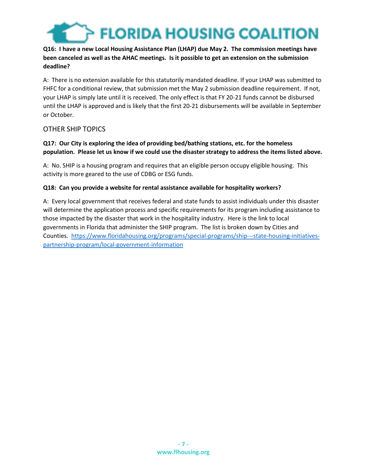

#### **Q16: I have a new Local Housing Assistance Plan (LHAP) due May 2. The commission meetings have been canceled as well as the AHAC meetings. Is it possible to get an extension on the submission deadline?**

A: There is no extension available for this statutorily mandated deadline. If your LHAP was submitted to FHFC for a conditional review, that submission met the May 2 submission deadline requirement. If not, your LHAP is simply late until it is received. The only effect is that FY 20-21 funds cannot be disbursed until the LHAP is approved and is likely that the first 20-21 disbursements will be available in September or October.

#### OTHER SHIP TOPICS

#### **Q17: Our City is exploring the idea of providing bed/bathing stations, etc. for the homeless population. Please let us know if we could use the disaster strategy to address the items listed above.**

A: No. SHIP is a housing program and requires that an eligible person occupy eligible housing. This activity is more geared to the use of CDBG or ESG funds.

#### **Q18: Can you provide a website for rental assistance available for hospitality workers?**

<span id="page-6-0"></span>A: Every local government that receives federal and state funds to assist individuals under this disaster will determine the application process and specific requirements for its program including assistance to those impacted by the disaster that work in the hospitality industry. Here is the link to local governments in Florida that administer the SHIP program. The list is broken down by Cities and Counties. [https://www.floridahousing.org/programs/special-programs/ship---state-housing-initiatives](https://www.floridahousing.org/programs/special-programs/ship---state-housing-initiatives-partnership-program/local-government-information)[partnership-program/local-government-information](https://www.floridahousing.org/programs/special-programs/ship---state-housing-initiatives-partnership-program/local-government-information)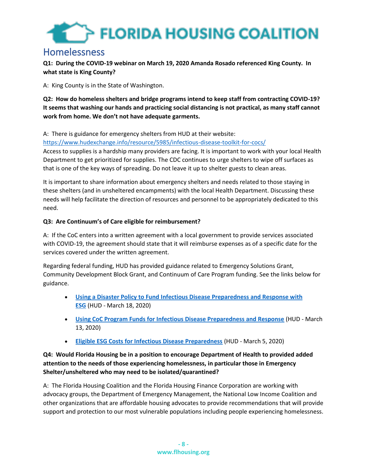### Homelessness

**Q1: During the COVID-19 webinar on March 19, 2020 Amanda Rosado referenced King County. In what state is King County?**

A: King County is in the State of Washington.

**Q2: How do homeless shelters and bridge programs intend to keep staff from contracting COVID-19? It seems that washing our hands and practicing social distancing is not practical, as many staff cannot work from home. We don't not have adequate garments.**

A: There is guidance for emergency shelters from HUD at their website:

<https://www.hudexchange.info/resource/5985/infectious-disease-toolkit-for-cocs/>

Access to supplies is a hardship many providers are facing. It is important to work with your local Health Department to get prioritized for supplies. The CDC continues to urge shelters to wipe off surfaces as that is one of the key ways of spreading. Do not leave it up to shelter guests to clean areas.

It is important to share information about emergency shelters and needs related to those staying in these shelters (and in unsheltered encampments) with the local Health Department. Discussing these needs will help facilitate the direction of resources and personnel to be appropriately dedicated to this need.

#### **Q3: Are Continuum's of Care eligible for reimbursement?**

A: If the CoC enters into a written agreement with a local government to provide services associated with COVID-19, the agreement should state that it will reimburse expenses as of a specific date for the services covered under the written agreement.

Regarding federal funding, HUD has provided guidance related to Emergency Solutions Grant, Community Development Block Grant, and Continuum of Care Program funding. See the links below for guidance.

- **[Using a Disaster Policy to Fund Infectious Disease Preparedness and Response with](https://files.hudexchange.info/resources/documents/Using-a-Disaster-Policy-to-Fund-Infectious-Disease-Preparedness-and-Response-with-ESG.pdf)  [ESG](https://files.hudexchange.info/resources/documents/Using-a-Disaster-Policy-to-Fund-Infectious-Disease-Preparedness-and-Response-with-ESG.pdf)** (HUD - March 18, 2020)
- **[Using CoC Program Funds for Infectious Disease Preparedness and Response](https://files.hudexchange.info/resources/documents/Using-CoC-Program-Funds-for-Infectious-Disease-Preparedness-and-Response.pdf)** (HUD March 13, 2020)
- **[Eligible ESG Costs for Infectious Disease Preparedness](https://files.hudexchange.info/resources/documents/Eligible-ESG-Program-Costs-for-Infectious-Disease-Preparedness.pdf)** (HUD March 5, 2020)

#### **Q4: Would Florida Housing be in a position to encourage Department of Health to provided added attention to the needs of those experiencing homelessness, in particular those in Emergency Shelter/unsheltered who may need to be isolated/quarantined?**

A: The Florida Housing Coalition and the Florida Housing Finance Corporation are working with advocacy groups, the Department of Emergency Management, the National Low Income Coalition and other organizations that are affordable housing advocates to provide recommendations that will provide support and protection to our most vulnerable populations including people experiencing homelessness.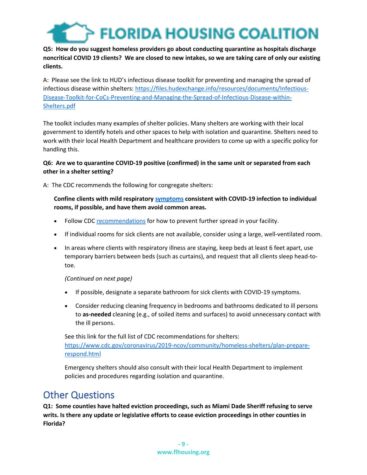

#### **Q5: How do you suggest homeless providers go about conducting quarantine as hospitals discharge noncritical COVID 19 clients? We are closed to new intakes, so we are taking care of only our existing clients.**

A: Please see the link to HUD's infectious disease toolkit for preventing and managing the spread of infectious disease within shelters[: https://files.hudexchange.info/resources/documents/Infectious-](https://files.hudexchange.info/resources/documents/Infectious-Disease-Toolkit-for-CoCs-Preventing-and-Managing-the-Spread-of-Infectious-Disease-within-Shelters.pdf)[Disease-Toolkit-for-CoCs-Preventing-and-Managing-the-Spread-of-Infectious-Disease-within-](https://files.hudexchange.info/resources/documents/Infectious-Disease-Toolkit-for-CoCs-Preventing-and-Managing-the-Spread-of-Infectious-Disease-within-Shelters.pdf)[Shelters.pdf](https://files.hudexchange.info/resources/documents/Infectious-Disease-Toolkit-for-CoCs-Preventing-and-Managing-the-Spread-of-Infectious-Disease-within-Shelters.pdf)

The toolkit includes many examples of shelter policies. Many shelters are working with their local government to identify hotels and other spaces to help with isolation and quarantine. Shelters need to work with their local Health Department and healthcare providers to come up with a specific policy for handling this.

#### **Q6: Are we to quarantine COVID-19 positive (confirmed) in the same unit or separated from each other in a shelter setting?**

A: The CDC recommends the following for congregate shelters:

#### **Confine clients with mild respiratory [symptoms](https://www.cdc.gov/coronavirus/2019-ncov/about/symptoms.html) consistent with COVID-19 infection to individual rooms, if possible, and have them avoid common areas.**

- Follow CDC [recommendations](https://www.cdc.gov/coronavirus/2019-ncov/community/organizations/cleaning-disinfection.html) for how to prevent further spread in your facility.
- If individual rooms for sick clients are not available, consider using a large, well-ventilated room.
- In areas where clients with respiratory illness are staying, keep beds at least 6 feet apart, use temporary barriers between beds (such as curtains), and request that all clients sleep head-totoe.

#### *(Continued on next page)*

- If possible, designate a separate bathroom for sick clients with COVID-19 symptoms.
- Consider reducing cleaning frequency in bedrooms and bathrooms dedicated to ill persons to **as-needed** cleaning (e.g., of soiled items and surfaces) to avoid unnecessary contact with the ill persons.

See this link for the full list of CDC recommendations for shelters: [https://www.cdc.gov/coronavirus/2019-ncov/community/homeless-shelters/plan-prepare](https://www.cdc.gov/coronavirus/2019-ncov/community/homeless-shelters/plan-prepare-respond.html)[respond.html](https://www.cdc.gov/coronavirus/2019-ncov/community/homeless-shelters/plan-prepare-respond.html)

Emergency shelters should also consult with their local Health Department to implement policies and procedures regarding isolation and quarantine.

### <span id="page-8-0"></span>Other Questions

**Q1: Some counties have halted eviction proceedings, such as Miami Dade Sheriff refusing to serve writs. Is there any update or legislative efforts to cease eviction proceedings in other counties in Florida?**